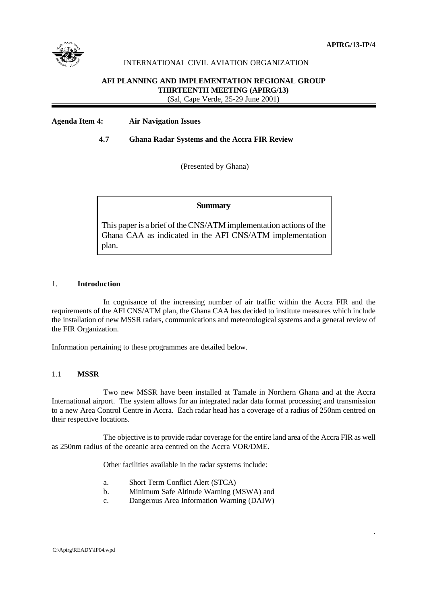

.

# INTERNATIONAL CIVIL AVIATION ORGANIZATION

#### **AFI PLANNING AND IMPLEMENTATION REGIONAL GROUP THIRTEENTH MEETING (APIRG/13)**

(Sal, Cape Verde, 25-29 June 2001)

# **Agenda Item 4: Air Navigation Issues**

### **4.7 Ghana Radar Systems and the Accra FIR Review**

(Presented by Ghana)

### **Summary**

This paper is a brief of the CNS/ATM implementation actions of the Ghana CAA as indicated in the AFI CNS/ATM implementation plan.

#### 1. **Introduction**

In cognisance of the increasing number of air traffic within the Accra FIR and the requirements of the AFI CNS/ATM plan, the Ghana CAA has decided to institute measures which include the installation of new MSSR radars, communications and meteorological systems and a general review of the FIR Organization.

Information pertaining to these programmes are detailed below.

# 1.1 **MSSR**

Two new MSSR have been installed at Tamale in Northern Ghana and at the Accra International airport. The system allows for an integrated radar data format processing and transmission to a new Area Control Centre in Accra. Each radar head has a coverage of a radius of 250nm centred on their respective locations.

The objective is to provide radar coverage for the entire land area of the Accra FIR as well as 250nm radius of the oceanic area centred on the Accra VOR/DME.

Other facilities available in the radar systems include:

- a. Short Term Conflict Alert (STCA)
- b. Minimum Safe Altitude Warning (MSWA) and
- c. Dangerous Area Information Warning (DAIW)